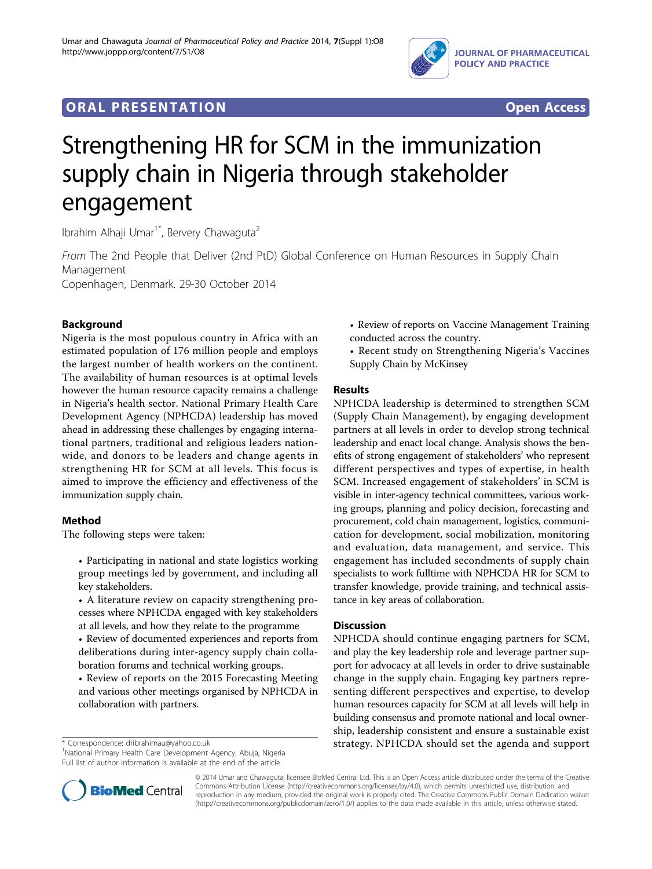

## **ORAL PRESENTATION OPEN ACCESS**



# Strengthening HR for SCM in the immunization supply chain in Nigeria through stakeholder engagement

Ibrahim Alhaji Umar<sup>1\*</sup>, Bervery Chawaguta<sup>2</sup>

From The 2nd People that Deliver (2nd PtD) Global Conference on Human Resources in Supply Chain Management

Copenhagen, Denmark. 29-30 October 2014

### Background

Nigeria is the most populous country in Africa with an estimated population of 176 million people and employs the largest number of health workers on the continent. The availability of human resources is at optimal levels however the human resource capacity remains a challenge in Nigeria's health sector. National Primary Health Care Development Agency (NPHCDA) leadership has moved ahead in addressing these challenges by engaging international partners, traditional and religious leaders nationwide, and donors to be leaders and change agents in strengthening HR for SCM at all levels. This focus is aimed to improve the efficiency and effectiveness of the immunization supply chain.

#### Method

The following steps were taken:

- Participating in national and state logistics working group meetings led by government, and including all key stakeholders.
- A literature review on capacity strengthening processes where NPHCDA engaged with key stakeholders at all levels, and how they relate to the programme
- Review of documented experiences and reports from deliberations during inter-agency supply chain collaboration forums and technical working groups.
- Review of reports on the 2015 Forecasting Meeting and various other meetings organised by NPHCDA in collaboration with partners.

<sup>1</sup>National Primary Health Care Development Agency, Abuja, Nigeria Full list of author information is available at the end of the article



• Recent study on Strengthening Nigeria's Vaccines Supply Chain by McKinsey

#### Results

NPHCDA leadership is determined to strengthen SCM (Supply Chain Management), by engaging development partners at all levels in order to develop strong technical leadership and enact local change. Analysis shows the benefits of strong engagement of stakeholders' who represent different perspectives and types of expertise, in health SCM. Increased engagement of stakeholders' in SCM is visible in inter-agency technical committees, various working groups, planning and policy decision, forecasting and procurement, cold chain management, logistics, communication for development, social mobilization, monitoring and evaluation, data management, and service. This engagement has included secondments of supply chain specialists to work fulltime with NPHCDA HR for SCM to transfer knowledge, provide training, and technical assistance in key areas of collaboration.

#### **Discussion**

NPHCDA should continue engaging partners for SCM, and play the key leadership role and leverage partner support for advocacy at all levels in order to drive sustainable change in the supply chain. Engaging key partners representing different perspectives and expertise, to develop human resources capacity for SCM at all levels will help in building consensus and promote national and local ownership, leadership consistent and ensure a sustainable exist \* Correspondence: [dribrahimau@yahoo.co.uk](mailto:dribrahimau@yahoo.co.uk) strategy. NPHCDA should set the agenda and support



© 2014 Umar and Chawaguta; licensee BioMed Central Ltd. This is an Open Access article distributed under the terms of the Creative Commons Attribution License [\(http://creativecommons.org/licenses/by/4.0](http://creativecommons.org/licenses/by/4.0)), which permits unrestricted use, distribution, and reproduction in any medium, provided the original work is properly cited. The Creative Commons Public Domain Dedication waiver [\(http://creativecommons.org/publicdomain/zero/1.0/](http://creativecommons.org/publicdomain/zero/1.0/)) applies to the data made available in this article, unless otherwise stated.